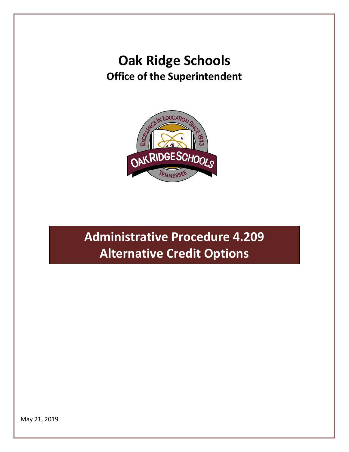## **Oak Ridge Schools Office of the Superintendent**



# **Administrative Procedure 4.209 Alternative Credit Options**

May 21, 2019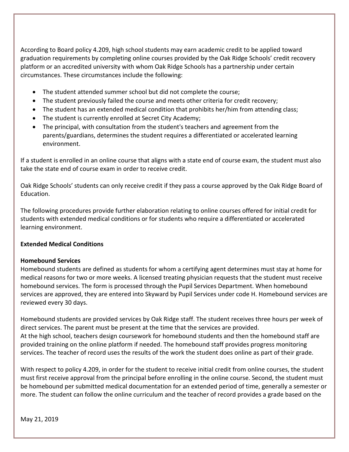According to Board policy 4.209, high school students may earn academic credit to be applied toward graduation requirements by completing online courses provided by the Oak Ridge Schools' credit recovery platform or an accredited university with whom Oak Ridge Schools has a partnership under certain circumstances. These circumstances include the following:

- The student attended summer school but did not complete the course;
- The student previously failed the course and meets other criteria for credit recovery;
- The student has an extended medical condition that prohibits her/him from attending class;
- The student is currently enrolled at Secret City Academy;
- The principal, with consultation from the student's teachers and agreement from the parents/guardians, determines the student requires a differentiated or accelerated learning environment.

If a student is enrolled in an online course that aligns with a state end of course exam, the student must also take the state end of course exam in order to receive credit.

Oak Ridge Schools' students can only receive credit if they pass a course approved by the Oak Ridge Board of Education.

The following procedures provide further elaboration relating to online courses offered for initial credit for students with extended medical conditions or for students who require a differentiated or accelerated learning environment.

#### **Extended Medical Conditions**

#### **Homebound Services**

Homebound students are defined as students for whom a certifying agent determines must stay at home for medical reasons for two or more weeks. A licensed treating physician requests that the student must receive homebound services. The form is processed through the Pupil Services Department. When homebound services are approved, they are entered into Skyward by Pupil Services under code H. Homebound services are reviewed every 30 days.

Homebound students are provided services by Oak Ridge staff. The student receives three hours per week of direct services. The parent must be present at the time that the services are provided. At the high school, teachers design coursework for homebound students and then the homebound staff are provided training on the online platform if needed. The homebound staff provides progress monitoring services. The teacher of record uses the results of the work the student does online as part of their grade.

With respect to policy 4.209, in order for the student to receive initial credit from online courses, the student must first receive approval from the principal before enrolling in the online course. Second, the student must be homebound per submitted medical documentation for an extended period of time, generally a semester or more. The student can follow the online curriculum and the teacher of record provides a grade based on the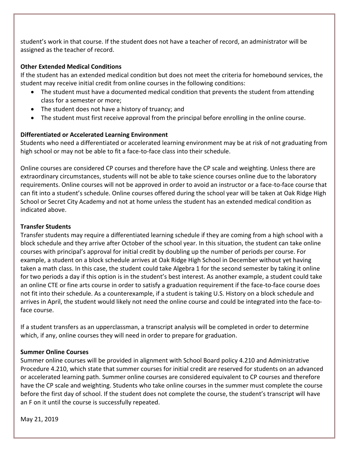student's work in that course. If the student does not have a teacher of record, an administrator will be assigned as the teacher of record.

#### **Other Extended Medical Conditions**

If the student has an extended medical condition but does not meet the criteria for homebound services, the student may receive initial credit from online courses in the following conditions:

- The student must have a documented medical condition that prevents the student from attending class for a semester or more;
- The student does not have a history of truancy; and
- The student must first receive approval from the principal before enrolling in the online course.

### **Differentiated or Accelerated Learning Environment**

Students who need a differentiated or accelerated learning environment may be at risk of not graduating from high school or may not be able to fit a face-to-face class into their schedule.

Online courses are considered CP courses and therefore have the CP scale and weighting. Unless there are extraordinary circumstances, students will not be able to take science courses online due to the laboratory requirements. Online courses will not be approved in order to avoid an instructor or a face-to-face course that can fit into a student's schedule. Online courses offered during the school year will be taken at Oak Ridge High School or Secret City Academy and not at home unless the student has an extended medical condition as indicated above.

#### **Transfer Students**

Transfer students may require a differentiated learning schedule if they are coming from a high school with a block schedule and they arrive after October of the school year. In this situation, the student can take online courses with principal's approval for initial credit by doubling up the number of periods per course. For example, a student on a block schedule arrives at Oak Ridge High School in December without yet having taken a math class. In this case, the student could take Algebra 1 for the second semester by taking it online for two periods a day if this option is in the student's best interest. As another example, a student could take an online CTE or fine arts course in order to satisfy a graduation requirement if the face-to-face course does not fit into their schedule. As a counterexample, if a student is taking U.S. History on a block schedule and arrives in April, the student would likely not need the online course and could be integrated into the face-toface course.

If a student transfers as an upperclassman, a transcript analysis will be completed in order to determine which, if any, online courses they will need in order to prepare for graduation.

#### **Summer Online Courses**

Summer online courses will be provided in alignment with School Board policy 4.210 and Administrative Procedure 4.210, which state that summer courses for initial credit are reserved for students on an advanced or accelerated learning path. Summer online courses are considered equivalent to CP courses and therefore have the CP scale and weighting. Students who take online courses in the summer must complete the course before the first day of school. If the student does not complete the course, the student's transcript will have an F on it until the course is successfully repeated.

May 21, 2019